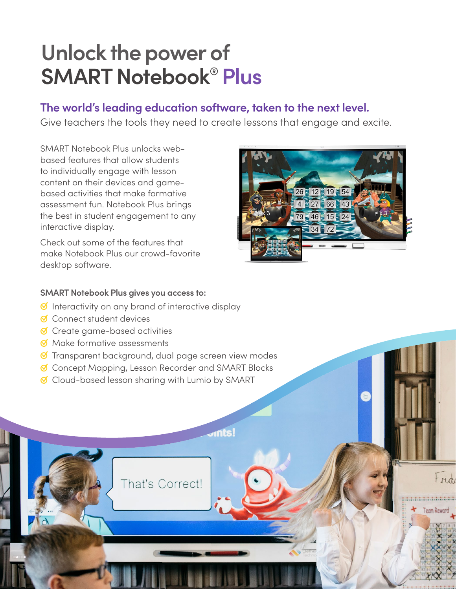# **Unlock the power of SMART Notebook® Plus**

### **The world's leading education software, taken to the next level.**

Give teachers the tools they need to create lessons that engage and excite.

SMART Notebook Plus unlocks webbased features that allow students to individually engage with lesson content on their devices and gamebased activities that make formative assessment fun. Notebook Plus brings the best in student engagement to any interactive display.

Check out some of the features that make Notebook Plus our crowd-favorite desktop software.



Frid

#### **SMART Notebook Plus gives you access to:**

- ☑ Interactivity on any brand of interactive display
- ☑ Connect student devices
- ☑ Create game-based activities
- ☑ Make formative assessments
- ☑ Transparent background, dual page screen view modes
- ☑ Concept Mapping, Lesson Recorder and SMART Blocks
- ☑ Cloud-based lesson sharing with Lumio by SMART

That's Correct!